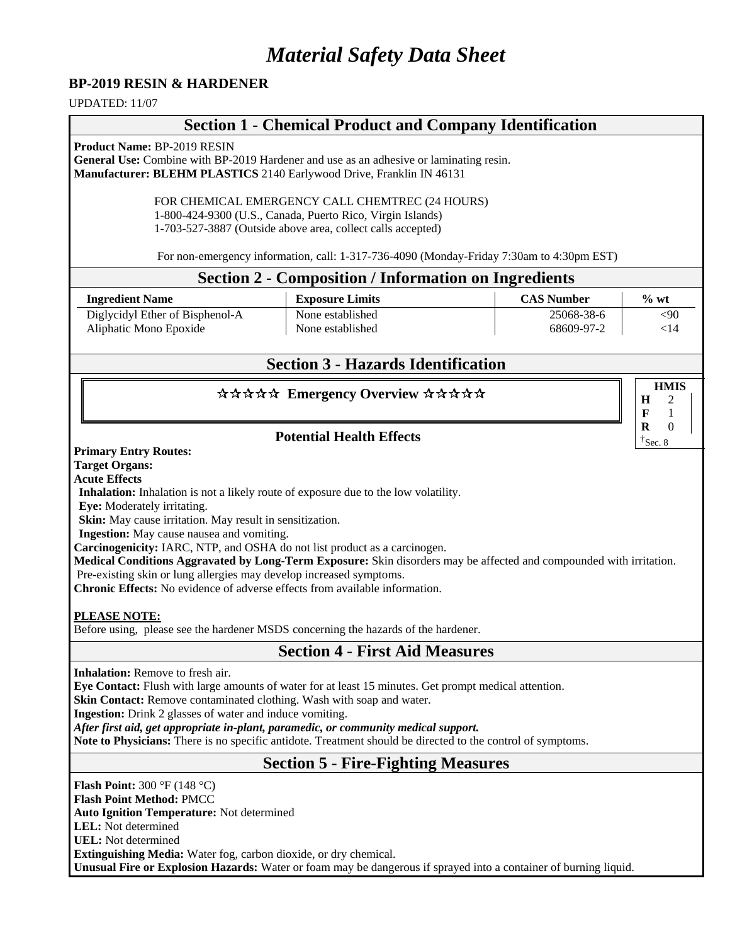# *Material Safety Data Sheet*

#### **BP-2019 RESIN & HARDENER**

UPDATED: 11/07

# **Section 1 - Chemical Product and Company Identification**

**Product Name:** BP-2019 RESIN

**General Use:** Combine with BP-2019 Hardener and use as an adhesive or laminating resin. **Manufacturer: BLEHM PLASTICS** 2140 Earlywood Drive, Franklin IN 46131

> FOR CHEMICAL EMERGENCY CALL CHEMTREC (24 HOURS) 1-800-424-9300 (U.S., Canada, Puerto Rico, Virgin Islands) 1-703-527-3887 (Outside above area, collect calls accepted)

For non-emergency information, call: 1-317-736-4090 (Monday-Friday 7:30am to 4:30pm EST)

#### **Section 2 - Composition / Information on Ingredients**

| <b>Ingredient Name</b>          | <b>Exposure Limits</b> | <b>CAS Number</b> | $\%$ wt |
|---------------------------------|------------------------|-------------------|---------|
| Diglycidyl Ether of Bisphenol-A | None established       | 25068-38-6        | <90     |
| Aliphatic Mono Epoxide          | None established       | 68609-97-2        | <14     |

## **Section 3 - Hazards Identification**

**HMIS**

**H F R** 

#### \*\*\*\*\* Emergency Overview \*\*\*\*\*

#### **Potential Health Effects**

**Primary Entry Routes:**

**Target Organs:**

**Acute Effects**

**Inhalation:** Inhalation is not a likely route of exposure due to the low volatility.

**Eye:** Moderately irritating.

**Skin:** May cause irritation. May result in sensitization.

**Ingestion:** May cause nausea and vomiting.

**Carcinogenicity:** IARC, NTP, and OSHA do not list product as a carcinogen.

**Medical Conditions Aggravated by Long-Term Exposure:** Skin disorders may be affected and compounded with irritation.

Pre**-**existing skin or lung allergies may develop increased symptoms.

**Chronic Effects:** No evidence of adverse effects from available information.

#### **PLEASE NOTE:**

Before using, please see the hardener MSDS concerning the hazards of the hardener.

## **Section 4 - First Aid Measures**

**Inhalation:** Remove to fresh air.

**Eye Contact:** Flush with large amounts of water for at least 15 minutes. Get prompt medical attention.

**Skin Contact:** Remove contaminated clothing. Wash with soap and water.

**Ingestion:** Drink 2 glasses of water and induce vomiting.

*After first aid, get appropriate in-plant, paramedic, or community medical support.* 

**Note to Physicians:** There is no specific antidote. Treatment should be directed to the control of symptoms.

## **Section 5 - Fire-Fighting Measures**

**Flash Point:** 300 °F (148 °C)

**Flash Point Method:** PMCC

**Auto Ignition Temperature:** Not determined

**LEL:** Not determined **UEL:** Not determined

**Extinguishing Media:** Water fog, carbon dioxide, or dry chemical.

**Unusual Fire or Explosion Hazards:** Water or foam may be dangerous if sprayed into a container of burning liquid.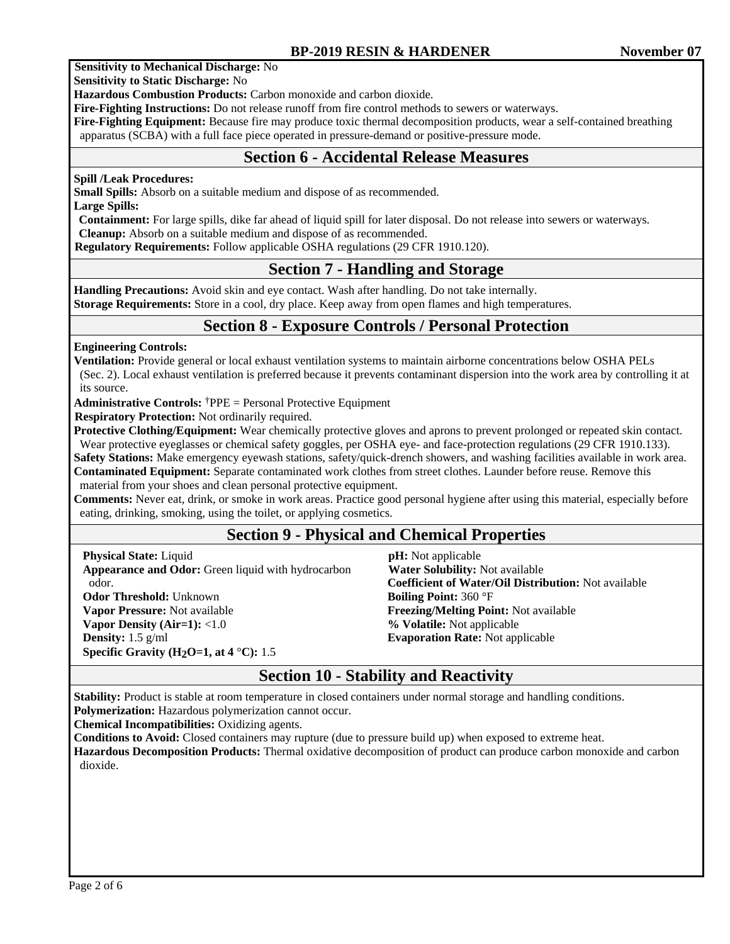#### **Sensitivity to Mechanical Discharge:** No

**Sensitivity to Static Discharge:** No

**Hazardous Combustion Products:** Carbon monoxide and carbon dioxide.

**Fire-Fighting Instructions:** Do not release runoff from fire control methods to sewers or waterways.

**Fire-Fighting Equipment:** Because fire may produce toxic thermal decomposition products, wear a self-contained breathing apparatus (SCBA) with a full face piece operated in pressure-demand or positive-pressure mode.

## **Section 6 - Accidental Release Measures**

#### **Spill /Leak Procedures:**

**Small Spills:** Absorb on a suitable medium and dispose of as recommended.

**Large Spills:** 

**Containment:** For large spills, dike far ahead of liquid spill for later disposal. Do not release into sewers or waterways. **Cleanup:** Absorb on a suitable medium and dispose of as recommended.

 **Regulatory Requirements:** Follow applicable OSHA regulations (29 CFR 1910.120).

## **Section 7 - Handling and Storage**

**Handling Precautions:** Avoid skin and eye contact. Wash after handling. Do not take internally. **Storage Requirements:** Store in a cool, dry place. Keep away from open flames and high temperatures.

## **Section 8 - Exposure Controls / Personal Protection**

**Engineering Controls:**

**Ventilation:** Provide general or local exhaust ventilation systems to maintain airborne concentrations below OSHA PELs (Sec. 2). Local exhaust ventilation is preferred because it prevents contaminant dispersion into the work area by controlling it at its source.

**Administrative Controls:** †PPE = Personal Protective Equipment

**Respiratory Protection:** Not ordinarily required.

**Protective Clothing/Equipment:** Wear chemically protective gloves and aprons to prevent prolonged or repeated skin contact. Wear protective eyeglasses or chemical safety goggles, per OSHA eye- and face-protection regulations (29 CFR 1910.133).

**Safety Stations:** Make emergency eyewash stations, safety/quick-drench showers, and washing facilities available in work area. **Contaminated Equipment:** Separate contaminated work clothes from street clothes. Launder before reuse. Remove this material from your shoes and clean personal protective equipment.

**Comments:** Never eat, drink, or smoke in work areas. Practice good personal hygiene after using this material, especially before eating, drinking, smoking, using the toilet, or applying cosmetics.

# **Section 9 - Physical and Chemical Properties**

**Physical State:** Liquid **Appearance and Odor:** Green liquid with hydrocarbon odor. **Odor Threshold:** Unknown **Vapor Pressure:** Not available **Vapor Density (Air=1):** <1.0 **Density:** 1.5 g/ml **Specific Gravity (H2O=1, at 4** °**C):** 1.5

 **pH:** Not applicable  **Water Solubility:** Not available **Coefficient of Water/Oil Distribution:** Not available **Boiling Point:** 360 °F **Freezing/Melting Point:** Not available **% Volatile:** Not applicable **Evaporation Rate:** Not applicable

## **Section 10 - Stability and Reactivity**

**Stability:** Product is stable at room temperature in closed containers under normal storage and handling conditions.

**Polymerization:** Hazardous polymerization cannot occur.

**Chemical Incompatibilities:** Oxidizing agents.

**Conditions to Avoid:** Closed containers may rupture (due to pressure build up) when exposed to extreme heat.

**Hazardous Decomposition Products:** Thermal oxidative decomposition of product can produce carbon monoxide and carbon dioxide.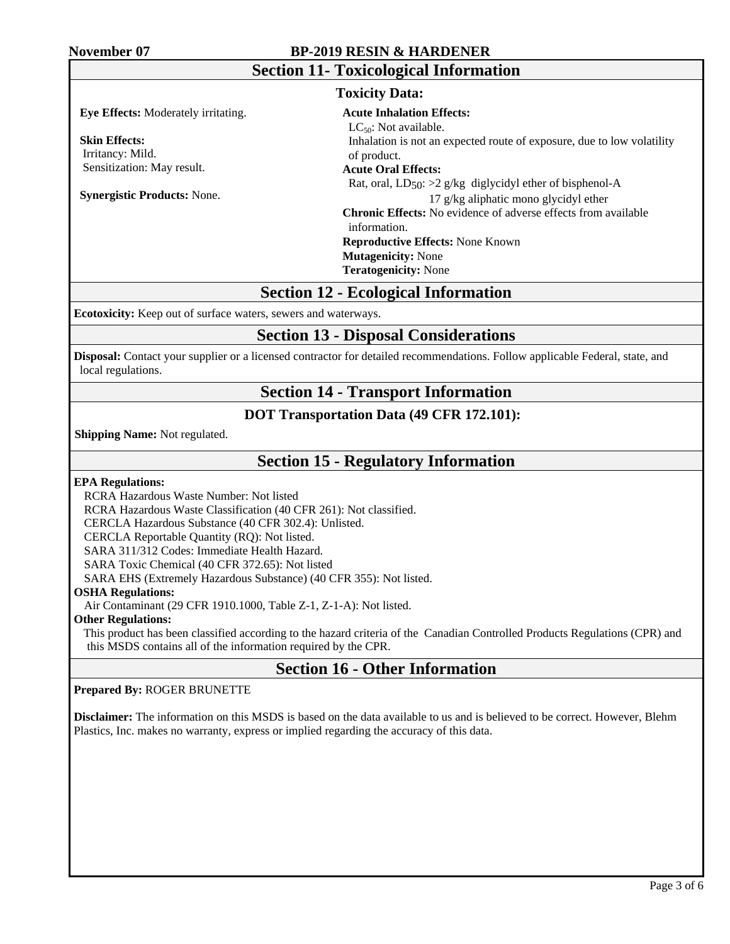#### **November 07 BP-2019 RESIN & HARDENER**

| <b>Section 11- Toxicological Information</b><br><b>Toxicity Data:</b>  |                                                                                                                                                                                  |  |  |
|------------------------------------------------------------------------|----------------------------------------------------------------------------------------------------------------------------------------------------------------------------------|--|--|
|                                                                        |                                                                                                                                                                                  |  |  |
| <b>Skin Effects:</b><br>Irritancy: Mild.<br>Sensitization: May result. | Inhalation is not an expected route of exposure, due to low volatility<br>of product.<br><b>Acute Oral Effects:</b>                                                              |  |  |
| <b>Synergistic Products: None.</b>                                     | Rat, oral, $LD_{50}$ : >2 g/kg diglycidyl ether of bisphenol-A<br>17 g/kg aliphatic mono glycidyl ether<br><b>Chronic Effects:</b> No evidence of adverse effects from available |  |  |
|                                                                        | information.                                                                                                                                                                     |  |  |
|                                                                        | <b>Reproductive Effects: None Known</b><br><b>Mutagenicity:</b> None                                                                                                             |  |  |
|                                                                        | <b>Teratogenicity:</b> None                                                                                                                                                      |  |  |

## **Section 12 - Ecological Information**

**Ecotoxicity:** Keep out of surface waters, sewers and waterways.

## **Section 13 - Disposal Considerations**

**Disposal:** Contact your supplier or a licensed contractor for detailed recommendations. Follow applicable Federal, state, and local regulations.

## **Section 14 - Transport Information**

#### **DOT Transportation Data (49 CFR 172.101):**

 **Shipping Name:** Not regulated.

## **Section 15 - Regulatory Information**

#### **EPA Regulations:**

RCRA Hazardous Waste Number: Not listed

RCRA Hazardous Waste Classification (40 CFR 261): Not classified.

CERCLA Hazardous Substance (40 CFR 302.4): Unlisted.

CERCLA Reportable Quantity (RQ): Not listed.

SARA 311/312 Codes: Immediate Health Hazard.

SARA Toxic Chemical (40 CFR 372.65): Not listed

SARA EHS (Extremely Hazardous Substance) (40 CFR 355): Not listed.

#### **OSHA Regulations:**

Air Contaminant (29 CFR 1910.1000, Table Z-1, Z-1-A): Not listed.

#### **Other Regulations:**

This product has been classified according to the hazard criteria of the Canadian Controlled Products Regulations (CPR) and this MSDS contains all of the information required by the CPR.

## **Section 16 - Other Information**

#### **Prepared By:** ROGER BRUNETTE

**Disclaimer:** The information on this MSDS is based on the data available to us and is believed to be correct. However, Blehm Plastics, Inc. makes no warranty, express or implied regarding the accuracy of this data.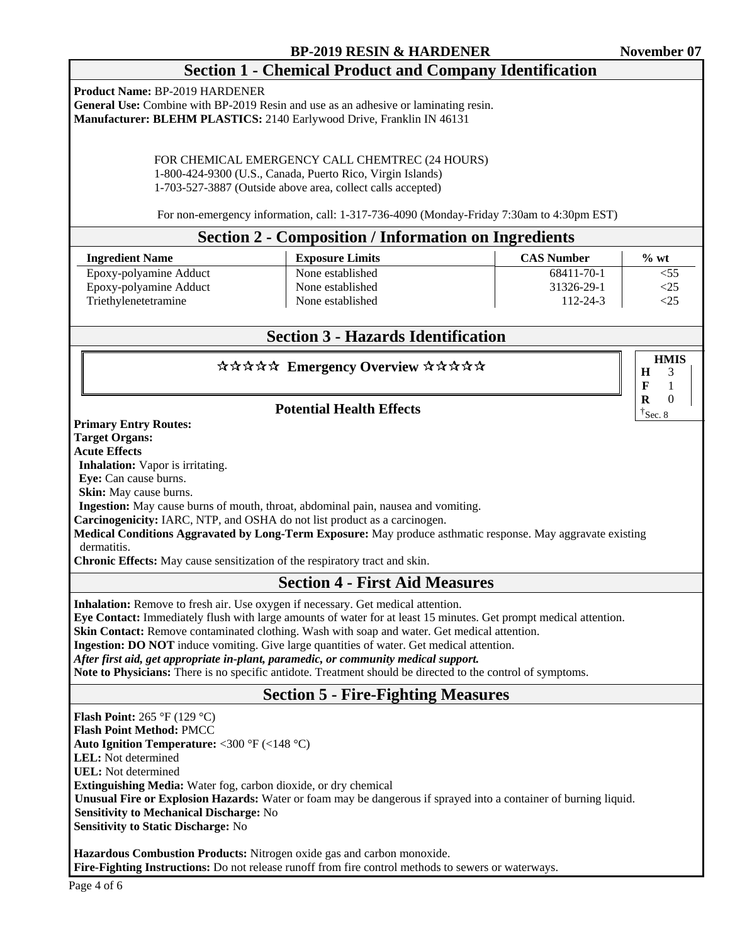**HMIS**

3 1  $\Omega$  $\dagger$ Sec. 8

**H F R** 

# **Section 1 - Chemical Product and Company Identification**

**Product Name:** BP-2019 HARDENER

**General Use:** Combine with BP-2019 Resin and use as an adhesive or laminating resin. **Manufacturer: BLEHM PLASTICS:** 2140 Earlywood Drive, Franklin IN 46131

> FOR CHEMICAL EMERGENCY CALL CHEMTREC (24 HOURS) 1-800-424-9300 (U.S., Canada, Puerto Rico, Virgin Islands) 1-703-527-3887 (Outside above area, collect calls accepted)

For non-emergency information, call: 1-317-736-4090 (Monday-Friday 7:30am to 4:30pm EST)

#### **Section 2 - Composition / Information on Ingredients**

| <b>Ingredient Name</b> | <b>Exposure Limits</b> | <b>CAS Number</b> | $\%$ wt |  |
|------------------------|------------------------|-------------------|---------|--|
| Epoxy-polyamine Adduct | None established       | 68411-70-1        | $<$ 55  |  |
| Epoxy-polyamine Adduct | None established       | 31326-29-1        | <25     |  |
| Triethylenetetramine   | None established       | 112-24-3          | <25     |  |

# **Section 3 - Hazards Identification**

## \*\*\*\*\* Emergency Overview \*\*\*\*\*

### **Potential Health Effects**

**Primary Entry Routes:**

**Target Organs:**

**Acute Effects**

**Inhalation:** Vapor is irritating.

**Eye:** Can cause burns.

**Skin:** May cause burns.

**Ingestion:** May cause burns of mouth, throat, abdominal pain, nausea and vomiting.

**Carcinogenicity:** IARC, NTP, and OSHA do not list product as a carcinogen.

**Medical Conditions Aggravated by Long-Term Exposure:** May produce asthmatic response. May aggravate existing dermatitis.

**Chronic Effects:** May cause sensitization of the respiratory tract and skin.

## **Section 4 - First Aid Measures**

**Inhalation:** Remove to fresh air. Use oxygen if necessary. Get medical attention.

**Eye Contact:** Immediately flush with large amounts of water for at least 15 minutes. Get prompt medical attention.

**Skin Contact:** Remove contaminated clothing. Wash with soap and water. Get medical attention.

**Ingestion: DO NOT** induce vomiting. Give large quantities of water. Get medical attention.

*After first aid, get appropriate in-plant, paramedic, or community medical support.* 

**Note to Physicians:** There is no specific antidote. Treatment should be directed to the control of symptoms.

## **Section 5 - Fire-Fighting Measures**

**Flash Point:** 265 °F (129 °C) **Flash Point Method:** PMCC **Auto Ignition Temperature:** <300 °F (<148 °C) **LEL:** Not determined **UEL:** Not determined **Extinguishing Media:** Water fog, carbon dioxide, or dry chemical  **Unusual Fire or Explosion Hazards:** Water or foam may be dangerous if sprayed into a container of burning liquid.  **Sensitivity to Mechanical Discharge:** No **Sensitivity to Static Discharge:** No

**Hazardous Combustion Products:** Nitrogen oxide gas and carbon monoxide. **Fire-Fighting Instructions:** Do not release runoff from fire control methods to sewers or waterways.

Page 4 of 6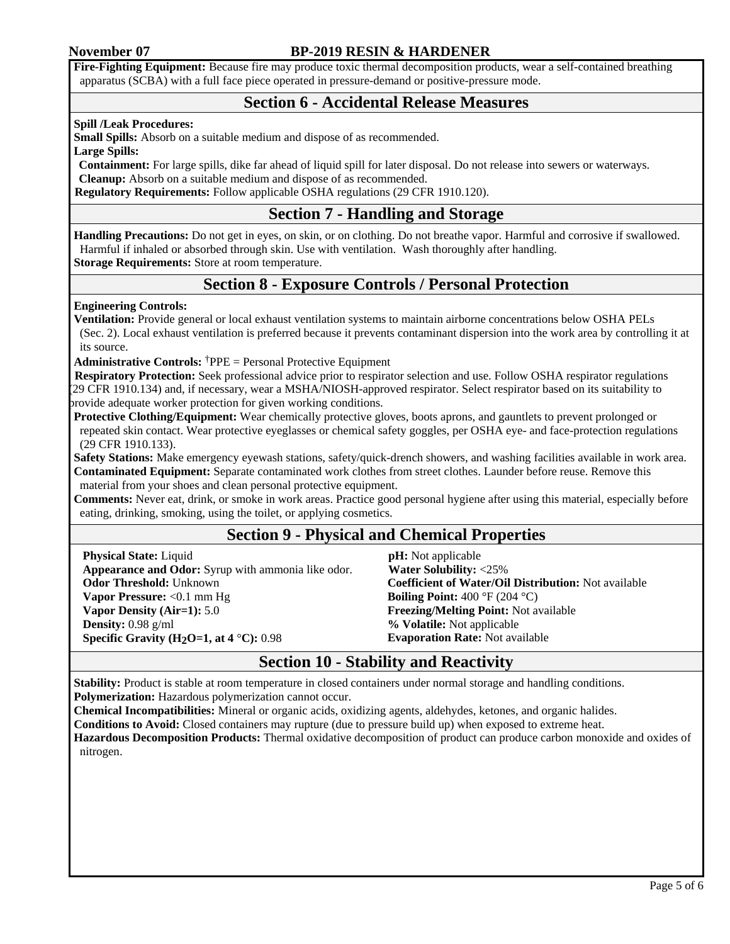#### **November 07 BP-2019 RESIN & HARDENER**

**Fire-Fighting Equipment:** Because fire may produce toxic thermal decomposition products, wear a self-contained breathing apparatus (SCBA) with a full face piece operated in pressure-demand or positive-pressure mode.

## **Section 6 - Accidental Release Measures**

#### **Spill /Leak Procedures:**

**Small Spills:** Absorb on a suitable medium and dispose of as recommended.

**Large Spills:** 

**Containment:** For large spills, dike far ahead of liquid spill for later disposal. Do not release into sewers or waterways. **Cleanup:** Absorb on a suitable medium and dispose of as recommended.

 **Regulatory Requirements:** Follow applicable OSHA regulations (29 CFR 1910.120).

## **Section 7 - Handling and Storage**

**Handling Precautions:** Do not get in eyes, on skin, or on clothing. Do not breathe vapor. Harmful and corrosive if swallowed. Harmful if inhaled or absorbed through skin. Use with ventilation. Wash thoroughly after handling. **Storage Requirements:** Store at room temperature.

## **Section 8 - Exposure Controls / Personal Protection**

#### **Engineering Controls:**

**Ventilation:** Provide general or local exhaust ventilation systems to maintain airborne concentrations below OSHA PELs (Sec. 2). Local exhaust ventilation is preferred because it prevents contaminant dispersion into the work area by controlling it at its source.

**Administrative Controls:** †PPE = Personal Protective Equipment

 **Respiratory Protection:** Seek professional advice prior to respirator selection and use. Follow OSHA respirator regulations (29 CFR 1910.134) and, if necessary, wear a MSHA/NIOSH-approved respirator. Select respirator based on its suitability to provide adequate worker protection for given working conditions.

**Protective Clothing/Equipment:** Wear chemically protective gloves, boots aprons, and gauntlets to prevent prolonged or repeated skin contact. Wear protective eyeglasses or chemical safety goggles, per OSHA eye- and face-protection regulations (29 CFR 1910.133).

**Safety Stations:** Make emergency eyewash stations, safety/quick-drench showers, and washing facilities available in work area. **Contaminated Equipment:** Separate contaminated work clothes from street clothes. Launder before reuse. Remove this material from your shoes and clean personal protective equipment.

**Comments:** Never eat, drink, or smoke in work areas. Practice good personal hygiene after using this material, especially before eating, drinking, smoking, using the toilet, or applying cosmetics.

## **Section 9 - Physical and Chemical Properties**

**Physical State:** Liquid **Appearance and Odor:** Syrup with ammonia like odor. **Odor Threshold:** Unknown **Vapor Pressure:** <0.1 mm Hg **Vapor Density (Air=1):** 5.0 **Density:** 0.98 g/ml **Specific Gravity (H<sub>2</sub>O=1, at 4 <sup>°</sup>C): 0.98** 

 **pH:** Not applicable  **Water Solubility:** <25% **Coefficient of Water/Oil Distribution:** Not available **Boiling Point:** 400 °F (204 °C) **Freezing/Melting Point:** Not available **% Volatile:** Not applicable **Evaporation Rate:** Not available

## **Section 10 - Stability and Reactivity**

**Stability:** Product is stable at room temperature in closed containers under normal storage and handling conditions. **Polymerization:** Hazardous polymerization cannot occur.

**Chemical Incompatibilities:** Mineral or organic acids, oxidizing agents, aldehydes, ketones, and organic halides.

**Conditions to Avoid:** Closed containers may rupture (due to pressure build up) when exposed to extreme heat.

**Hazardous Decomposition Products:** Thermal oxidative decomposition of product can produce carbon monoxide and oxides of nitrogen.